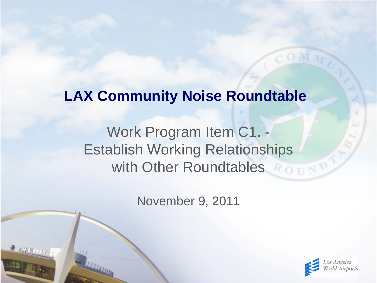# **LAX Community Noise Roundtable**

# Work Program Item C1. - Establish Working Relationships with Other Roundtables

November 9, 2011

 $2000000$ 

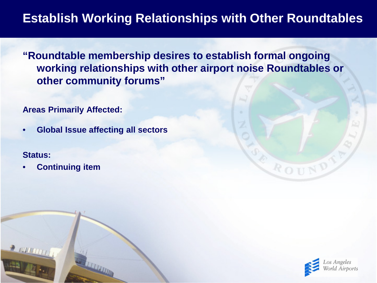**"Roundtable membership desires to establish formal ongoing working relationships with other airport noise Roundtables or other community forums"**

**Areas Primarily Affected:**

• **Global Issue affecting all sectors**

#### **Status:**

 $200000$ 

• **Continuing item** 



ROUND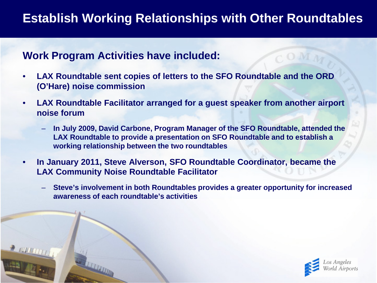#### **Work Program Activities have included:**

- **LAX Roundtable sent copies of letters to the SFO Roundtable and the ORD (O'Hare) noise commission**
- **LAX Roundtable Facilitator arranged for a guest speaker from another airport noise forum**
	- **In July 2009, David Carbone, Program Manager of the SFO Roundtable, attended the LAX Roundtable to provide a presentation on SFO Roundtable and to establish a working relationship between the two roundtables**
- **In January 2011, Steve Alverson, SFO Roundtable Coordinator, became the LAX Community Noise Roundtable Facilitator**
	- **Steve's involvement in both Roundtables provides a greater opportunity for increased awareness of each roundtable's activities**

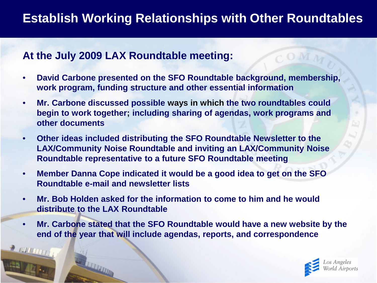#### **At the July 2009 LAX Roundtable meeting:**

2 100 11 11 1

- **David Carbone presented on the SFO Roundtable background, membership, work program, funding structure and other essential information**
- **Mr. Carbone discussed possible ways in which the two roundtables could begin to work together; including sharing of agendas, work programs and other documents**
- **Other ideas included distributing the SFO Roundtable Newsletter to the LAX/Community Noise Roundtable and inviting an LAX/Community Noise Roundtable representative to a future SFO Roundtable meeting**
- **Member Danna Cope indicated it would be a good idea to get on the SFO Roundtable e-mail and newsletter lists**
- **Mr. Bob Holden asked for the information to come to him and he would distribute to the LAX Roundtable**
- **Mr. Carbone stated that the SFO Roundtable would have a new website by the end of the year that will include agendas, reports, and correspondence**

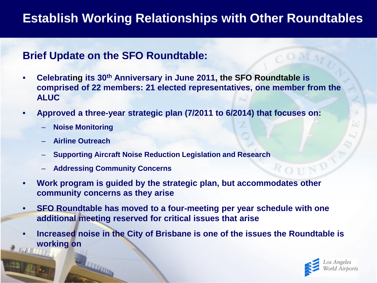#### **Brief Update on the SFO Roundtable:**

- **Celebrating its 30th Anniversary in June 2011, the SFO Roundtable is comprised of 22 members: 21 elected representatives, one member from the ALUC**
- **Approved a three-year strategic plan (7/2011 to 6/2014) that focuses on:**
	- **Noise Monitoring**
	- **Airline Outreach**
	- **Supporting Aircraft Noise Reduction Legislation and Research**
	- **Addressing Community Concerns**
- **Work program is guided by the strategic plan, but accommodates other community concerns as they arise**
- **SFO Roundtable has moved to a four-meeting per year schedule with one additional meeting reserved for critical issues that arise**
- **Increased noise in the City of Brisbane is one of the issues the Roundtable is working on**

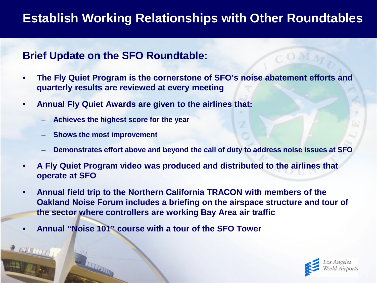#### **Brief Update on the SFO Roundtable:**

- **The Fly Quiet Program is the cornerstone of SFO's noise abatement efforts and quarterly results are reviewed at every meeting**
- **Annual Fly Quiet Awards are given to the airlines that:**
	- **Achieves the highest score for the year**
	- **Shows the most improvement**
	- **Demonstrates effort above and beyond the call of duty to address noise issues at SFO**
- **A Fly Quiet Program video was produced and distributed to the airlines that operate at SFO**
- **Annual field trip to the Northern California TRACON with members of the Oakland Noise Forum includes a briefing on the airspace structure and tour of the sector where controllers are working Bay Area air traffic**
- **Annual "Noise 101" course with a tour of the SFO Tower**

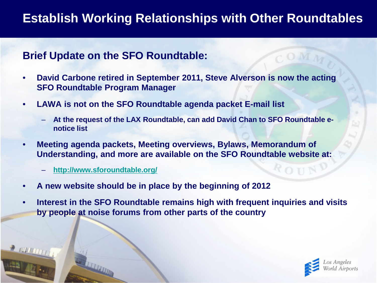#### **Brief Update on the SFO Roundtable:**

- **David Carbone retired in September 2011, Steve Alverson is now the acting SFO Roundtable Program Manager**
- **LAWA is not on the SFO Roundtable agenda packet E-mail list**
	- **At the request of the LAX Roundtable, can add David Chan to SFO Roundtable enotice list**
- **Meeting agenda packets, Meeting overviews, Bylaws, Memorandum of Understanding, and more are available on the SFO Roundtable website at:**
	- **<http://www.sforoundtable.org/>**
- **A new website should be in place by the beginning of 2012**
- **Interest in the SFO Roundtable remains high with frequent inquiries and visits by people at noise forums from other parts of the country**

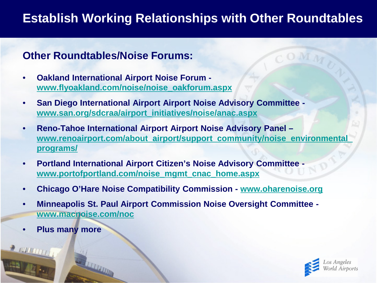#### **Other Roundtables/Noise Forums:**

- **Oakland International Airport Noise Forum [www.flyoakland.com/noise/noise\\_oakforum.aspx](http://www.flyoakland.com/noise/noise_oakforum.aspx)**
- **San Diego International Airport Airport Noise Advisory Committee [www.san.org/sdcraa/airport\\_initiatives/noise/anac.aspx](http://www.san.org/sdcraa/airport_initiatives/noise/anac.aspx)**
- **Reno-Tahoe International Airport Airport Noise Advisory Panel – [www.renoairport.com/about\\_airport/support\\_community/noise\\_environmental\\_](http://www.renoairport.com/about_airport/support_community/noise_environmental_programs/) [programs/](http://www.renoairport.com/about_airport/support_community/noise_environmental_programs/)**
- **Portland International Airport Citizen's Noise Advisory Committee [www.portofportland.com/noise\\_mgmt\\_cnac\\_home.aspx](http://www.portofportland.com/noise_mgmt_cnac_home.aspx)**
- **Chicago O'Hare Noise Compatibility Commission - [www.oharenoise.org](http://www.oharenoise.org/)**
- **Minneapolis St. Paul Airport Commission Noise Oversight Committee [www.macnoise.com/noc](http://www.macnoise.com/noc)**
- **Plus many more**

2 199 19 17

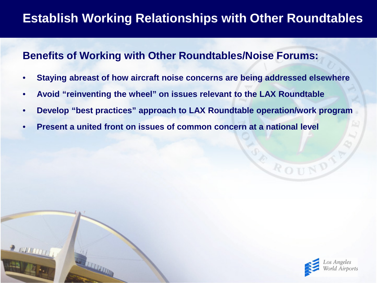#### **Benefits of Working with Other Roundtables/Noise Forums:**

- **Staying abreast of how aircraft noise concerns are being addressed elsewhere**
- **Avoid "reinventing the wheel" on issues relevant to the LAX Roundtable**
- **Develop "best practices" approach to LAX Roundtable operation/work program**
- **Present a united front on issues of common concern at a national level**



ROUN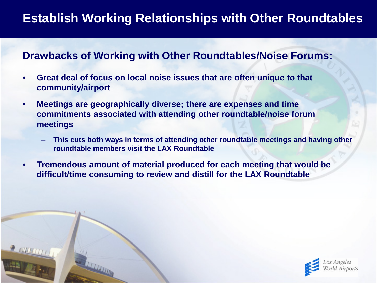#### **Drawbacks of Working with Other Roundtables/Noise Forums:**

- **Great deal of focus on local noise issues that are often unique to that community/airport**
- **Meetings are geographically diverse; there are expenses and time commitments associated with attending other roundtable/noise forum meetings**
	- **This cuts both ways in terms of attending other roundtable meetings and having other roundtable members visit the LAX Roundtable**
- **Tremendous amount of material produced for each meeting that would be difficult/time consuming to review and distill for the LAX Roundtable**

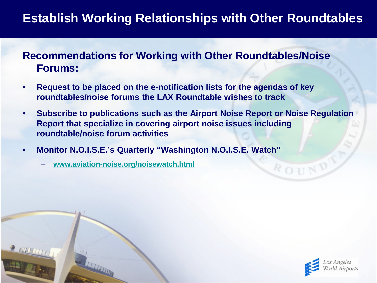#### **Recommendations for Working with Other Roundtables/Noise Forums:**

- **Request to be placed on the e-notification lists for the agendas of key roundtables/noise forums the LAX Roundtable wishes to track**
- **Subscribe to publications such as the Airport Noise Report or Noise Regulation Report that specialize in covering airport noise issues including roundtable/noise forum activities**
- **Monitor N.O.I.S.E.'s Quarterly "Washington N.O.I.S.E. Watch"**
	- **[www.aviation-noise.org/noisewatch.html](http://www.aviation-noise.org/noisewatch.html)**

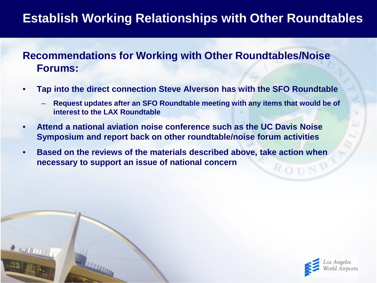#### **Recommendations for Working with Other Roundtables/Noise Forums:**

- **Tap into the direct connection Steve Alverson has with the SFO Roundtable**
	- **Request updates after an SFO Roundtable meeting with any items that would be of interest to the LAX Roundtable**
- **Attend a national aviation noise conference such as the UC Davis Noise Symposium and report back on other roundtable/noise forum activities**
- **Based on the reviews of the materials described above, take action when necessary to support an issue of national concern**